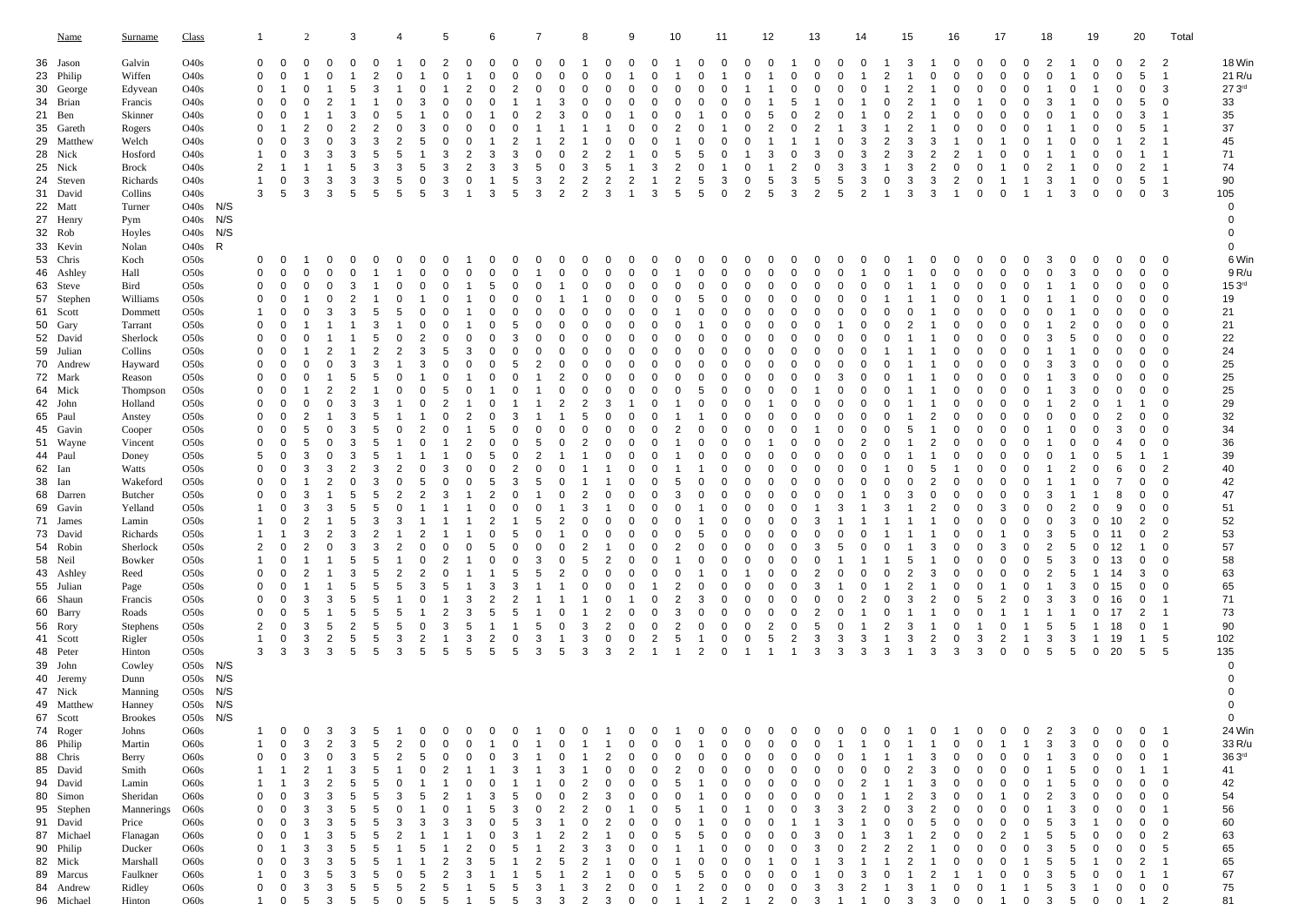| <u>Name</u>                                                                                                                                                                                                                                                                                                                   | <b>Surname</b>                                                                                                                                                                                                                                                                   | <b>Class</b>                                                                                                                                                                                                                                                                                                                                                                                                                 |                                 | 1                                                                                                                                           |                                                                                                                                                                  | 2                                                                                                                                                               |                                                                                                                                                                                                                   | 3                                                                                                                                                                            |                                                                                                                                                 | 4                                                                                                                                    |                                                                                              | 5                                                                                                                    |                                                                                                                                                                    | 6                                                                                                                                                                                                                              |                                                                                                                                                                                                                                                                                                                       |                                                                                                                | 8                                                                                                                                                             |                                                                                                                                                                                                                                                                                        | 9                                                                                                                                                                                                         |                                                                                                                                                                                       | 10                                                                                                                                                                                       |                                                                                                                                                                                    | 11                                                                                                                  |                                                                                                                                                                                                                                       | 12                                                                                                                                                                                                                                                                                                            |                                                                                                                 | 13                                                                                                                                                                                                                                                                                                          | 14                                                                                                                           |                                                                                                                                                                                                                         | 15                                                                                                                   |                                                                                                                                                          | 16                                                                                                                                                                             |                                                                                                                                                                                                                                   | 17                                                                                                                                          |                                                                                                                                                                        | 18                                                                                                                                                                                      |                                                                                                                                      | 19                                                                                                                                                                    |                                                                                                                                                                      | 20                                                                                                                                                                               | Total                                                                                                                                                                                                                                                                                         |                                                                                                                                                                                              |
|-------------------------------------------------------------------------------------------------------------------------------------------------------------------------------------------------------------------------------------------------------------------------------------------------------------------------------|----------------------------------------------------------------------------------------------------------------------------------------------------------------------------------------------------------------------------------------------------------------------------------|------------------------------------------------------------------------------------------------------------------------------------------------------------------------------------------------------------------------------------------------------------------------------------------------------------------------------------------------------------------------------------------------------------------------------|---------------------------------|---------------------------------------------------------------------------------------------------------------------------------------------|------------------------------------------------------------------------------------------------------------------------------------------------------------------|-----------------------------------------------------------------------------------------------------------------------------------------------------------------|-------------------------------------------------------------------------------------------------------------------------------------------------------------------------------------------------------------------|------------------------------------------------------------------------------------------------------------------------------------------------------------------------------|-------------------------------------------------------------------------------------------------------------------------------------------------|--------------------------------------------------------------------------------------------------------------------------------------|----------------------------------------------------------------------------------------------|----------------------------------------------------------------------------------------------------------------------|--------------------------------------------------------------------------------------------------------------------------------------------------------------------|--------------------------------------------------------------------------------------------------------------------------------------------------------------------------------------------------------------------------------|-----------------------------------------------------------------------------------------------------------------------------------------------------------------------------------------------------------------------------------------------------------------------------------------------------------------------|----------------------------------------------------------------------------------------------------------------|---------------------------------------------------------------------------------------------------------------------------------------------------------------|----------------------------------------------------------------------------------------------------------------------------------------------------------------------------------------------------------------------------------------------------------------------------------------|-----------------------------------------------------------------------------------------------------------------------------------------------------------------------------------------------------------|---------------------------------------------------------------------------------------------------------------------------------------------------------------------------------------|------------------------------------------------------------------------------------------------------------------------------------------------------------------------------------------|------------------------------------------------------------------------------------------------------------------------------------------------------------------------------------|---------------------------------------------------------------------------------------------------------------------|---------------------------------------------------------------------------------------------------------------------------------------------------------------------------------------------------------------------------------------|---------------------------------------------------------------------------------------------------------------------------------------------------------------------------------------------------------------------------------------------------------------------------------------------------------------|-----------------------------------------------------------------------------------------------------------------|-------------------------------------------------------------------------------------------------------------------------------------------------------------------------------------------------------------------------------------------------------------------------------------------------------------|------------------------------------------------------------------------------------------------------------------------------|-------------------------------------------------------------------------------------------------------------------------------------------------------------------------------------------------------------------------|----------------------------------------------------------------------------------------------------------------------|----------------------------------------------------------------------------------------------------------------------------------------------------------|--------------------------------------------------------------------------------------------------------------------------------------------------------------------------------|-----------------------------------------------------------------------------------------------------------------------------------------------------------------------------------------------------------------------------------|---------------------------------------------------------------------------------------------------------------------------------------------|------------------------------------------------------------------------------------------------------------------------------------------------------------------------|-----------------------------------------------------------------------------------------------------------------------------------------------------------------------------------------|--------------------------------------------------------------------------------------------------------------------------------------|-----------------------------------------------------------------------------------------------------------------------------------------------------------------------|----------------------------------------------------------------------------------------------------------------------------------------------------------------------|----------------------------------------------------------------------------------------------------------------------------------------------------------------------------------|-----------------------------------------------------------------------------------------------------------------------------------------------------------------------------------------------------------------------------------------------------------------------------------------------|----------------------------------------------------------------------------------------------------------------------------------------------------------------------------------------------|
| 36 Jason<br>23 Philip<br>30 George<br>34 Brian<br>21 Ben<br>35 Gareth<br>29 Matthew<br>28 Nick<br>25 Nick<br>24 Steven<br>31 David<br>22 Matt<br>27 Henry<br>32 Rob                                                                                                                                                           | Galvin<br>Wiffen<br>Edyvean<br>Francis<br>Skinner<br>Rogers<br>Welch<br>Hosford<br>Brock<br>Richards<br>Collins<br>Turner<br>Pym<br>Hoyles                                                                                                                                       | O40s<br>O40s<br>O40s<br>O40s<br>O40s<br>O40s<br>O40s<br>O40s<br>O40s<br>O40s<br>O40s<br>O40s N/S<br>O40s<br>O40s                                                                                                                                                                                                                                                                                                             | N/S<br>N/S                      | 0<br>0<br>$\mathbf 0$<br>0<br>0<br>0<br>0<br>1<br>$\overline{2}$<br>1<br>3                                                                  | 0<br>0<br>1<br>0<br>0<br>1<br>$\mathbf 0$<br>0<br>-1<br>0<br>5                                                                                                   | 0<br>-1<br>0<br>$\overline{2}$<br>3<br>3<br>3<br>3                                                                                                              | 0<br>$\mathbf 0$<br>-1<br>$\overline{2}$<br>-1<br>$\mathbf 0$<br>$\mathbf 0$<br>3<br>-1<br>3<br>3                                                                                                                 | 0<br>1<br>5<br>3<br>$\overline{2}$<br>3<br>3<br>5<br>3<br>5                                                                                                                  | 0<br>2<br>3<br>0<br>$\overline{2}$<br>3<br>5<br>3<br>3<br>5                                                                                     | 1<br>$\Omega$<br>-1<br>5<br>5<br>3<br>5<br>5                                                                                         | 0<br>-1<br>$\Omega$<br>3<br>3<br>-5<br>0<br>5                                                | 2<br>0<br>-1<br>0<br>0<br>3<br>3<br>3<br>3                                                                           | 0<br>1<br>$\overline{2}$<br>$\Omega$<br>0<br>$\overline{2}$<br>$\overline{2}$<br>0<br>1                                                                            | 0<br>$\Omega$<br>$\mathbf 0$<br>$\Omega$<br>-1<br>$\Omega$<br>3<br>3<br>$\mathbf{1}$<br>3                                                                                                                                      | 0<br>$\Omega$<br>$\Omega$<br>0<br>2<br>$\mathbf 0$<br>$\overline{2}$<br>0<br>2<br>3<br>$\Omega$<br>3<br>5<br>5<br>3<br>5<br>3                                                                                                                                                                                         | 0<br>$\Omega$<br>$\mathbf 0$<br>3<br>3<br>$\Omega$<br>$\Omega$<br>2<br>2                                       | 1<br>0<br>0<br>0<br>0<br>$\overline{2}$<br>3<br>$\overline{2}$<br>$\overline{2}$                                                                              | -0<br>$\Omega$<br>$\mathbf 0$<br>$\Omega$<br>0<br>-1<br>$\overline{2}$<br>5<br>$\overline{2}$<br>3                                                                                                                                                                                     | 0<br>1<br>0<br>$\Omega$<br>1<br>0<br>$\Omega$<br>1<br>1<br>$\overline{2}$<br>1                                                                                                                            | 0<br>$\Omega$<br>$\mathbf 0$<br>$\Omega$<br>0<br>$\Omega$<br>$\Omega$<br>$\mathbf 0$<br>3<br>1<br>3                                                                                   | 1<br>$\mathbf 0$<br>0<br>$\Omega$<br>2<br>5<br>$\overline{2}$<br>$\overline{c}$<br>5                                                                                                     | 0<br>$\Omega$<br>$\Omega$<br>0<br>-1<br>0<br>5<br>$\Omega$<br>5<br>5                                                                                                               | 0<br>$\Omega$<br>0<br>0<br>0<br>1<br>3<br>$\mathbf 0$                                                               | $\mathbf 0$<br>$\Omega$<br>1<br>$\Omega$<br>$\Omega$<br>0<br>$\Omega$<br>-1<br>$\Omega$<br>0<br>$\overline{2}$                                                                                                                        | 0<br>1<br>1<br>1<br>5<br>2<br>3<br>1<br>5<br>5                                                                                                                                                                                                                                                                | -1<br>0<br>$\Omega$<br>5<br>0<br>0<br>0<br>2<br>3<br>3                                                          | 0<br>0<br>$\Omega$<br>$\Omega$<br>$\mathbf 0$<br>$\Omega$<br>2<br>$\Omega$<br>$\overline{2}$<br>3<br>$\Omega$<br>$\Omega$<br>3<br>5<br>5<br>2<br>5                                                                                                                                                          | 0<br>-1<br>$\mathbf 0$<br>-1<br>3<br>3<br>3<br>3<br>3<br>$\overline{2}$                                                      | 1<br>$\overline{2}$<br>1<br>$\Omega$<br>$\Omega$<br>-1<br>$\overline{2}$<br>$\overline{2}$<br>1<br>0<br>1                                                                                                               | 3<br>1<br>$\overline{2}$<br>2<br>2<br>2<br>3<br>3<br>3<br>3<br>3                                                     | $\mathbf{1}$<br>0<br>1<br>-1<br>-1<br>-1<br>3<br>$\overline{c}$<br>$\overline{c}$<br>3<br>3                                                              | 0<br>$\Omega$<br>$\mathbf 0$<br>0<br>0<br>$\overline{2}$<br>$\mathbf 0$<br>$\overline{2}$<br>1                                                                                 | 0<br>$\Omega$<br>0<br>1<br>$\Omega$<br>0<br>1<br>$\mathbf 0$<br>0<br>0                                                                                                                                                            | 0<br>0<br>$\mathbf 0$<br>0<br>0<br>0<br>0<br>1<br>1<br>0                                                                                    | 0<br>0<br>0<br>0<br>0<br>0<br>$\mathbf 0$<br>0<br>0<br>1<br>1                                                                                                          | 2<br>0<br>1<br>3<br>0<br>1<br>1<br>1<br>$\overline{2}$<br>3<br>1                                                                                                                        | 1<br>1<br>0<br>-1<br>-1<br>-1<br>0<br>1<br>1<br>1<br>3                                                                               | $\mathbf 0$<br>0<br>1<br>$\mathbf 0$<br>0<br>0<br>0<br>0<br>0<br>0<br>0                                                                                               | 0<br>$\Omega$<br>$\Omega$<br>0<br>$\Omega$<br>0<br>0<br>$\Omega$<br>0<br>$\mathbf 0$                                                                                 | 2<br>5<br>$\mathbf 0$<br>5<br>3<br>5<br>2<br>1<br>$\overline{2}$<br>5<br>0                                                                                                       | $\overline{2}$<br>1<br>3<br>0<br>1<br>$\mathbf{1}$<br>1<br>$\mathbf{1}$<br>1<br>1<br>3                                                                                                                                                                                                        | 18 Win<br>21 R/u<br>27.3 <sup>rd</sup><br>33<br>35<br>37<br>45<br>71<br>74<br>90<br>105<br>$\mathbf 0$<br>0<br>$\mathbf 0$                                                                   |
| 33 Kevin<br>53 Chris<br>46 Ashley<br>63 Steve<br>57 Stephen<br>61 Scott<br>50 Gary<br>52 David<br>59 Julian<br>70 Andrew<br>72 Mark<br>64 Mick<br>42 John<br>65 Paul<br>45 Gavin<br>51 Wayne<br>44 Paul<br>62 Ian<br>38 Ian<br>68 Darren<br>69 Gavin<br>71 James<br>73 David<br>54 Robin<br>58 Neil<br>43 Ashley<br>55 Julian | Nolan<br>Koch<br>Hall<br>Bird<br>Williams<br>Dommett<br>Tarrant<br>Sherlock<br>Collins<br>Hayward<br>Reason<br>Thompson<br>Holland<br>Anstey<br>Cooper<br>Vincent<br>Doney<br>Watts<br>Wakeford<br>Butcher<br>Yelland<br>Lamin<br>Richards<br>Sherlock<br>Bowker<br>Reed<br>Page | O40s<br>O <sub>5</sub> 0 <sub>s</sub><br>O50s<br>O50s<br>O <sub>5</sub> 0 <sub>s</sub><br>O50s<br>O50s<br>O <sub>5</sub> 0 <sub>s</sub><br>O50s<br>O50s<br>O50s<br>O50s<br>O50s<br>O50s<br>O50s<br>O <sub>5</sub> 0 <sub>s</sub><br>O50s<br>O50s<br>O50s<br>O <sub>5</sub> 0 <sub>s</sub><br>O50s<br>O <sub>5</sub> 0 <sub>s</sub><br>O50s<br>O <sub>5</sub> 0 <sub>s</sub><br>O50s<br>O50s<br>O <sub>5</sub> 0 <sub>s</sub> | R                               | 0<br>0<br>0<br>0<br>1<br>0<br>0<br>0<br>0<br>0<br>0<br>0<br>0<br>0<br>0<br>5<br>0<br>0<br>0<br>1<br>1<br>1<br>$\overline{2}$<br>1<br>0<br>0 | 0<br>0<br>0<br>$\mathbf 0$<br>0<br>$\Omega$<br>0<br>$\mathbf 0$<br>0<br>0<br>0<br>0<br>0<br>0<br>0<br>0<br>0<br>0<br>0<br>0<br>0<br>1<br>0<br>0<br>0<br>$\Omega$ | $\mathbf{1}$<br>0<br>0<br>-1<br>0<br>0<br>0<br>0<br>0<br>$\overline{2}$<br>5<br>5<br>3<br>3<br>-1<br>3<br>3<br>2<br>3<br>$\overline{2}$<br>$\overline{2}$<br>-1 | 0<br>$\mathbf 0$<br>$\mathbf 0$<br>0<br>3<br>-1<br>$\overline{2}$<br>0<br>1<br>$\overline{2}$<br>0<br>1<br>0<br>$\mathbf 0$<br>$\Omega$<br>3<br>$\overline{2}$<br>1<br>3<br>$\overline{2}$<br>0<br>-1<br>-1<br>-1 | 0<br>$\mathbf 0$<br>3<br>$\overline{2}$<br>3<br>1<br>1<br>1<br>3<br>5<br>$\overline{2}$<br>3<br>3<br>3<br>3<br>3<br>2<br>$\mathbf 0$<br>5<br>5<br>5<br>3<br>3<br>5<br>3<br>5 | 0<br>1<br>-1<br>5<br>3<br>5<br>$\overline{2}$<br>3<br>5<br>3<br>5<br>5<br>5<br>5<br>3<br>3<br>5<br>5<br>3<br>$\overline{2}$<br>3<br>5<br>5<br>5 | 0<br>$\Omega$<br><sup>0</sup><br>5<br>0<br>$\Omega$<br>0<br>$\Omega$<br>-1<br>2<br>$\Omega$<br>3<br>$\overline{2}$<br>$\overline{2}$ | 0<br>$\Omega$<br>0<br>0<br>3<br>3<br>1<br>$\Omega$<br>2<br>$\Omega$<br>n<br>5<br>0<br>2<br>3 | 0<br>0<br>0<br>0<br>0<br>C<br>0<br>5<br>0<br>0<br>5<br>0<br>-1<br>3<br>C<br>3<br>-1<br>0<br>$\overline{2}$<br>0<br>5 | -1<br>0<br>1<br>-1<br>-1<br>0<br>3<br>$\Omega$<br>-1<br>$\Omega$<br>$\overline{2}$<br>1<br>$\overline{2}$<br>$\Omega$<br>$\Omega$<br>$\Omega$<br>1<br>0<br>1<br>-1 | 0<br>$\mathbf 0$<br>5<br>$\Omega$<br>0<br>$\Omega$<br>$\mathbf 0$<br>$\mathbf 0$<br>$\Omega$<br>$\mathbf 0$<br>-1<br>$\Omega$<br>0<br>5<br>0<br>5<br>0<br>5<br>$\overline{2}$<br>$\Omega$<br>2<br>0<br>5<br>$\Omega$<br>1<br>3 | 0<br>0<br>0<br>-1<br>$\mathbf 0$<br>0<br>0<br>$\Omega$<br>0<br>0<br>5<br>0<br>3<br>0<br>$\Omega$<br>5<br>2<br>0<br>1<br>O<br>3<br>-1<br>$\Omega$<br>$\Omega$<br>0<br>5<br>$\overline{2}$<br>0<br>$\overline{2}$<br>$\mathbf{0}$<br>3<br>-5<br>0<br>0<br>$\mathbf 0$<br>5<br>5<br>0<br>0<br>0<br>3<br>0<br>5<br>5<br>3 | 0<br>$\Omega$<br>$\Omega$<br>2<br>0<br>$\Omega$<br>$\Omega$<br>$\Omega$<br>$\Omega$<br>1<br>1<br>$\Omega$<br>2 | 0<br>0<br>0<br>-1<br>0<br>0<br>0<br>$\Omega$<br>0<br>5<br>0<br>$\overline{2}$<br>-1<br>-1<br>$\overline{2}$<br>3<br>0<br>$\overline{2}$<br>5<br>$\Omega$<br>0 | 0<br>$\mathbf 0$<br>0<br>$\Omega$<br>$\mathbf 0$<br>$\Omega$<br>0<br>$\mathbf 0$<br>$\Omega$<br>$\mathbf 0$<br>$\Omega$<br>3<br>$\mathbf 0$<br>$\Omega$<br>$\Omega$<br>$\Omega$<br>-1<br>-1<br>$\Omega$<br>1<br>$\Omega$<br>$\Omega$<br>1<br>$\overline{2}$<br>$\mathbf 0$<br>$\Omega$ | 0<br>0<br>0<br>$\Omega$<br>0<br>0<br>0<br>$\mathbf 0$<br>$\Omega$<br>0<br>$\Omega$<br>0<br>$\Omega$<br>0<br>$\Omega$<br>0<br>$\Omega$<br>$\Omega$<br>0<br>$\Omega$<br>0<br>0<br>0<br>$\Omega$<br>$\Omega$ | U<br>0<br>$\mathbf 0$<br>0<br>0<br>0<br>0<br>0<br>0<br>0<br>0<br>0<br>0<br>$\Omega$<br>0<br>$\Omega$<br>0<br>$\Omega$<br>0<br>$\mathbf 0$<br>$\Omega$<br>0<br>0<br>$\Omega$<br>0<br>1 | U<br>1<br>$\Omega$<br>$\Omega$<br>-1<br>0<br>0<br>$\Omega$<br>$\Omega$<br>$\Omega$<br>-1<br>$\overline{2}$<br>-1<br>-1<br>5<br>3<br>$\Omega$<br>0<br>$\Omega$<br>2<br>1<br>$\Omega$<br>2 | 0<br>0<br>$\Omega$<br>5<br>0<br>-1<br>$\Omega$<br>$\Omega$<br>$\Omega$<br>5<br>n<br>$\Omega$<br>$\Omega$<br>0<br>-1<br>$\Omega$<br>$\Omega$<br>1<br>-1<br>5<br>0<br>-1<br>$\Omega$ | U<br>0<br>0<br>0<br>0<br>C<br>0<br>0<br>0<br>0<br>0<br>0<br>0<br>0<br>C<br>0<br>$\Omega$<br>0<br>0<br>$\Omega$<br>C | U<br>0<br>$\mathbf 0$<br>$\mathbf 0$<br>0<br>0<br>0<br>$\mathbf 0$<br>0<br>0<br>$\Omega$<br>0<br>$\mathbf 0$<br>0<br>0<br>$\Omega$<br>0<br>$\Omega$<br>$\mathbf 0$<br>0<br>$\Omega$<br>$\Omega$<br>0<br>$\mathbf 0$<br>-1<br>$\Omega$ | 0<br>$\mathbf 0$<br>$\mathbf 0$<br>$\Omega$<br>$\mathbf 0$<br>$\Omega$<br>$\mathbf 0$<br>$\mathbf 0$<br>$\Omega$<br>0<br>$\Omega$<br>-1<br>$\mathbf 0$<br>$\Omega$<br>1<br>$\Omega$<br>$\mathbf 0$<br>$\mathbf 0$<br>$\Omega$<br>$\mathbf 0$<br>$\Omega$<br>$\Omega$<br>0<br>$\Omega$<br>$\Omega$<br>$\Omega$ | υ<br>0<br>0<br>0<br>0<br>0<br>0<br>0<br>0<br>0<br>0<br>0<br>0<br>0<br>0<br>0<br>0<br>0<br>0<br>0<br>0<br>0<br>0 | 0<br>0<br>$\Omega$<br>0<br>$\Omega$<br>$\Omega$<br>$\Omega$<br>$\Omega$<br>0<br>0<br>0<br>$\Omega$<br>$\Omega$<br>$\Omega$<br>$\Omega$<br>3<br><sup>0</sup><br>O<br><sup>0</sup><br>0<br>0<br>$\Omega$<br>$\Omega$<br>O<br>0<br>3<br>-1<br>3<br>$\Omega$<br>0<br>3<br>-5<br>$\overline{2}$<br>$\Omega$<br>3 | υ<br>1<br>0<br>0<br>0<br>0<br>0<br>0<br>0<br>0<br>0<br>0<br>$\overline{2}$<br>$\Omega$<br>0<br>-1<br>0<br>0<br>0<br>$\Omega$ | 0<br>0<br>$\mathbf 0$<br>-1<br>$\mathbf 0$<br>0<br>$\Omega$<br>$\Omega$<br>$\mathbf 0$<br>0<br>$\Omega$<br>$\mathbf 0$<br>$\Omega$<br>$\mathbf 0$<br>$\Omega$<br>-1<br>$\Omega$<br>3<br>-1<br>0<br>-1<br>$\Omega$<br>-1 | ı<br>1<br>1<br>1<br>0<br>2<br>1<br>1<br>1<br>1<br>1<br>1<br>5<br>1<br>1<br>0<br>0<br>3<br>1<br>1<br>1<br>5<br>2<br>2 | 0<br>0<br>1<br>-1<br>1<br>-1<br>1<br>1<br>$\overline{2}$<br>-1<br>$\overline{c}$<br>1<br>5<br>$\overline{2}$<br>0<br>$\overline{2}$<br>-1<br>3<br>3<br>1 | 0<br>0<br>$\mathbf 0$<br>0<br>$\mathbf 0$<br>0<br>0<br>0<br>0<br>$\Omega$<br>0<br>0<br>0<br>0<br>$\Omega$<br>0<br>1<br>0<br>0<br>$\Omega$<br>0<br>0<br>0<br>0<br>$\Omega$<br>0 | 0<br>0<br>0<br>$\mathbf 0$<br>0<br>0<br>0<br>$\mathbf 0$<br>$\Omega$<br>$\mathbf 0$<br>$\Omega$<br>0<br>0<br>$\Omega$<br>0<br>$\Omega$<br>0<br>0<br>$\Omega$<br>$\mathbf 0$<br>0<br>0<br>0<br>$\Omega$<br>$\mathbf 0$<br>$\Omega$ | U<br>0<br>0<br>-1<br>0<br>0<br>0<br>0<br>0<br>0<br>0<br>0<br>0<br>0<br>$\mathbf 0$<br>0<br>0<br>0<br>0<br>3<br>0<br>-1<br>3<br>0<br>0<br>-1 | U<br>0<br>0<br>0<br>0<br>0<br>0<br>$\mathbf 0$<br>0<br>0<br>0<br>0<br>$\mathbf 0$<br>0<br>0<br>0<br>0<br>0<br>0<br>0<br>0<br>0<br>0<br>$\mathbf 0$<br>0<br>$\mathbf 0$ | 3<br>$\mathbf 0$<br>1<br>1<br>0<br>1<br>3<br>1<br>3<br>1<br>1<br>1<br>0<br>1<br>1<br>0<br>1<br>$\mathbf{1}$<br>3<br>0<br>$\mathbf 0$<br>3<br>$\overline{2}$<br>5<br>$\overline{2}$<br>1 | U<br>3<br>1<br>1<br>1<br>2<br>5<br>1<br>3<br>3<br>3<br>2<br>$\mathbf 0$<br>0<br>0<br>2<br>1<br>-1<br>2<br>3<br>5<br>5<br>3<br>5<br>3 | 0<br>0<br>0<br>$\mathbf 0$<br>0<br>$\Omega$<br>0<br>$\mathbf 0$<br>0<br>0<br>0<br>0<br>0<br>0<br>0<br>$\Omega$<br>0<br>0<br>0<br>0<br>0<br>0<br>0<br>1<br>$\mathbf 0$ | 0<br>0<br>$\Omega$<br>$\Omega$<br>0<br>0<br>0<br>$\Omega$<br>$\Omega$<br>$^{\circ}$<br>0<br>1<br>2<br>3<br>4<br>5<br>6<br>7<br>9<br>10<br>11<br>12<br>13<br>14<br>15 | 0<br>0<br>0<br>$\Omega$<br>0<br>0<br>$\Omega$<br>$\Omega$<br>$\Omega$<br>$\Omega$<br>0<br>-1<br>0<br>0<br>0<br>-1<br>0<br>0<br>0<br>0<br>$\overline{2}$<br>0<br>1<br>0<br>3<br>0 | 0<br>$\Omega$<br>$\mathbf 0$<br>$\Omega$<br>$\mathbf 0$<br>$\Omega$<br>$\Omega$<br>$\mathbf 0$<br>0<br>$\Omega$<br>$\mathbf 0$<br>$\Omega$<br>$\mathbf 0$<br>$\Omega$<br>0<br>1<br>2<br>$\mathbf 0$<br>0<br>0<br>$\mathbf 0$<br>$\overline{2}$<br>$\mathbf 0$<br>$\mathbf 0$<br>0<br>$\Omega$ | $\mathsf 0$<br>6 Win<br>9 R/u<br>153 <sup>rd</sup><br>19<br>21<br>21<br>22<br>24<br>25<br>25<br>25<br>29<br>32<br>34<br>36<br>39<br>40<br>42<br>47<br>51<br>52<br>53<br>57<br>58<br>63<br>65 |
| 66 Shaun<br>60 Barry<br>56 Rory<br>41 Scott<br>48 Peter<br>39 John<br>40 Jeremy<br>47 Nick<br>49 Matthew<br>67 Scott                                                                                                                                                                                                          | Francis<br>Roads<br>Stephens<br>Rigler<br>Hinton<br>Cowley<br>Dunn<br>Manning<br>Hanney<br><b>Brookes</b>                                                                                                                                                                        | O50s<br>O50s<br>O50s<br>O50s<br>O <sub>5</sub> 0 <sub>s</sub><br>O50s<br>O50s<br>O50s<br>O50s<br>O50s                                                                                                                                                                                                                                                                                                                        | N/S<br>N/S<br>N/S<br>N/S<br>N/S | 0<br>0<br>$\overline{2}$<br>1<br>3                                                                                                          | 0<br>0<br>0<br>0<br>3                                                                                                                                            | 3<br>5<br>3<br>3<br>3                                                                                                                                           | 3<br>1<br>5<br>$\overline{2}$<br>3                                                                                                                                                                                | 5<br>5<br>$\overline{2}$<br>5<br>5                                                                                                                                           | 5<br>5<br>5<br>5<br>5                                                                                                                           | 5<br>3<br>3                                                                                                                          | $\Omega$<br>-1<br>$\overline{2}$<br>5                                                        | -1<br>$\overline{2}$<br>3<br>1<br>5                                                                                  | 3<br>3<br>5<br>3<br>5                                                                                                                                              | 2<br>5<br>$\overline{2}$<br>5                                                                                                                                                                                                  | 2<br>-1<br>5<br>-1<br>5<br>3<br>0<br>5<br>3                                                                                                                                                                                                                                                                           | -1<br>$\Omega$<br>$\mathbf{1}$<br>5                                                                            | -1<br>-1<br>3<br>3<br>3                                                                                                                                       | $\mathbf 0$<br>$\overline{2}$<br>$\overline{2}$<br>$\mathbf 0$<br>3                                                                                                                                                                                                                    | 1<br>0<br>0<br>$\mathbf 0$<br>2                                                                                                                                                                           | 0<br>0<br>0<br>$\overline{2}$<br>1                                                                                                                                                    | 2<br>3<br>$\overline{2}$<br>5<br>1                                                                                                                                                       | 3<br>$\Omega$<br>1<br>$\overline{2}$                                                                                                                                               | 0<br>0<br>0<br>0<br>0                                                                                               | 0<br>0<br>$\mathbf 0$<br>0<br>1                                                                                                                                                                                                       | $\mathbf 0$<br>$\mathbf 0$<br>2<br>5<br>1                                                                                                                                                                                                                                                                     | 0<br>0<br>0<br>2<br>1                                                                                           | 0<br>$\Omega$<br>2<br>n<br>5<br>3<br>3<br>3<br>3                                                                                                                                                                                                                                                            | 2<br>-1<br>3<br>3                                                                                                            | $\Omega$<br>$\Omega$<br>$\overline{2}$<br>1<br>3                                                                                                                                                                        | 3<br>1<br>3<br>3<br>1                                                                                                | $\overline{2}$<br>-1<br>$\overline{c}$<br>3                                                                                                              | 0<br>0<br>0<br>$\mathbf 0$<br>3                                                                                                                                                | 5<br>$\Omega$<br>3<br>3                                                                                                                                                                                                           | $\overline{2}$<br>1<br>0<br>$\overline{c}$<br>$\mathbf 0$                                                                                   | 0<br>1<br>1<br>1<br>0                                                                                                                                                  | 3<br>$\mathbf{1}$<br>5<br>3<br>5                                                                                                                                                        | 3<br>1<br>5<br>3<br>5                                                                                                                | $\mathbf 0$<br>0<br>1<br>1<br>$\mathbf 0$                                                                                                                             | 16<br>17<br>18<br>19<br>20                                                                                                                                           | 0<br>$\overline{2}$<br>0<br>1<br>5                                                                                                                                               | 1<br>1<br>$\mathbf{1}$<br>5<br>-5                                                                                                                                                                                                                                                             | 71<br>73<br>90<br>102<br>135<br>$\mathbf 0$<br>0<br>$\mathbf 0$<br>$\mathbf 0$<br>$\mathbf 0$                                                                                                |
| 74 Roger<br>86 Philip<br>88 Chris<br>85 David<br>94 David<br>80 Simon<br>95 Stephen<br>91 David<br>87 Michael<br>90 Philip<br>82 Mick<br>89 Marcus<br>84 Andrew<br>96 Michael                                                                                                                                                 | Johns<br>Martin<br>Berry<br>Smith<br>Lamin<br>Sheridan<br>Mannerings<br>Price<br>Flanagan<br>Ducker<br>Marshall<br>Faulkner<br>Ridley<br>Hinton                                                                                                                                  | O60s<br>O60s<br>O60s<br>O60s<br>O60s<br>O60s<br>O <sub>6</sub> 0 <sub>s</sub><br>O60s<br>O60s<br>O60s<br>O60s<br>O60s<br>O60s<br>O60s                                                                                                                                                                                                                                                                                        |                                 | 1<br>1<br>0<br>1<br>1<br>0<br>0<br>0<br>0<br>0<br>0<br>1<br>0<br>1                                                                          | 0<br>$\Omega$<br>0<br>0<br>0<br>0<br>1<br>0<br>0<br>0<br>0                                                                                                       | 0<br>3<br>3<br>$\overline{2}$<br>3<br>3<br>3<br>3<br>3<br>3<br>3<br>3<br>5                                                                                      | 3<br>$\overline{2}$<br>0<br>2<br>3<br>3<br>3<br>3<br>3<br>3<br>5<br>3<br>3                                                                                                                                        | 3<br>3<br>3<br>3<br>5<br>5<br>5<br>5<br>5<br>5<br>5<br>3<br>5<br>5                                                                                                           | ১<br>5<br>5<br>5<br>5<br>5<br>5<br>5<br>5<br>5<br>5<br>5<br>5<br>5                                                                              | л.<br>2<br>0<br>3<br>З<br>-1<br>0<br>5<br>0                                                                                          | U<br>5<br>5<br>3<br>1<br>5<br>$\overline{2}$<br>5                                            | 0<br>0<br>2<br>2<br>3<br>$\overline{c}$<br>2<br>5<br>5                                                               | 0<br>0<br>1<br>0<br>1<br>3<br>1<br>$\overline{c}$<br>3<br>3<br>$\mathbf{1}$<br>$\mathbf{1}$                                                                        | 0<br>1<br>0<br>0<br>3<br>5<br>0<br>$\mathbf 0$<br>0<br>5<br>1<br>5<br>5                                                                                                                                                        | 0<br><b>T</b><br>0<br>3<br>3<br>-1<br>1<br>1<br>5<br>0<br>3<br>5<br>3<br>3<br>1<br>5<br>$\overline{2}$<br>$\mathbf{1}$<br>5<br>1<br>5<br>3<br>5<br>3                                                                                                                                                                  | U<br>0<br>0<br>3<br>$\Omega$<br>0<br>1<br>2<br>5<br>$\mathbf{1}$<br>3                                          | 0<br>-1<br>-1<br>$\overline{2}$<br>$\overline{c}$<br>$\overline{2}$<br>0<br>$\overline{c}$<br>3<br>$\overline{2}$<br>$\overline{c}$<br>3<br>$\overline{2}$    | -1<br>-1<br>$\overline{2}$<br>$\mathbf 0$<br>0<br>3<br>0<br>2<br>1<br>3<br>1<br>1<br>$\overline{\mathbf{c}}$<br>3                                                                                                                                                                      | 0<br>0<br>0<br>$\mathbf 0$<br>0<br>0<br>0<br>0<br>0<br>0<br>0<br>0<br>$\mathbf 0$                                                                                                                         | 0<br>0<br>0<br>0<br>0<br>0<br>0<br>0<br>0<br>0<br>0<br>0<br>0<br>$\mathbf 0$                                                                                                          | л.<br>0<br>0<br>$\overline{2}$<br>5<br>$\mathbf 0$<br>5<br>0<br>5<br>1<br>5<br>$\mathbf{1}$<br>$\mathbf{1}$                                                                              | U<br>0<br>-1<br>1<br>1<br>5<br>0<br>5<br>$\overline{c}$<br>1                                                                                                                       | 0<br>0<br>0<br>0<br>0<br>0<br>0<br>0<br>0<br>0<br>$\overline{c}$                                                    | $\mathbf{0}$<br>0<br>0<br>0<br>0<br>0<br>0<br>0<br>0<br>0<br>0<br>0<br>1                                                                                                                                                              | 0<br>$\mathbf 0$<br>$\mathbf 0$<br>$\mathbf 0$<br>$\Omega$<br>0<br>$\Omega$<br>0<br>$\mathbf 0$<br>$\Omega$<br>1<br>$\mathbf 0$<br>0<br>$\overline{2}$                                                                                                                                                        | 0<br>0<br>0<br>0<br>0<br>0<br>0<br>0<br>0<br>0                                                                  | 0<br>U<br>0<br>0<br>$\Omega$<br>$\Omega$<br>0<br>0<br>3<br>3<br>3<br>3<br>0<br>3<br>3<br>1<br>0<br>3<br>3<br>3<br>$\mathbf{1}$                                                                                                                                                                              | U<br>2<br>1<br>2<br>-1<br>-1<br>$\overline{2}$<br>1<br>3<br>$\overline{c}$<br>$\mathbf{1}$                                   | U<br>0<br>$\mathbf 0$<br>1<br>1<br>0<br>3<br>$\overline{2}$<br>1<br>$\mathbf 0$<br>$\mathbf{1}$<br>$\mathsf 0$                                                                                                          | 1<br>1<br>1<br>$\overline{c}$<br>1<br>$\overline{c}$<br>3<br>0<br>1<br>2<br>$\overline{2}$<br>1<br>3<br>3            | υ<br>3<br>3<br>3<br>3<br>2<br>5<br>$\overline{2}$<br>1<br>$\overline{c}$<br>$\mathbf{1}$<br>$\mathbf{3}$                                                 | <b>T</b><br>0<br>0<br>0<br>0<br>1<br>$\mathbf 0$<br>$\mathbf 0$                                                                                                                | U<br>0<br>0<br>0<br><sup>0</sup><br>0<br>0<br>$\Omega$<br>0<br>1<br>0<br>$\mathbf 0$                                                                                                                                              | 0<br>0<br>0<br>1<br>0<br>$\overline{2}$<br>0<br>0<br>0<br>$\mathbf{1}$<br>$\mathbf{1}$                                                      | 0<br>0<br>0<br>0<br>0<br>$\Omega$<br>1<br>$\mathbf 0$<br>1<br>0<br>$\mathbf{1}$<br>$\mathsf 0$                                                                         | 2<br>3<br>1<br>1<br>1<br>$\overline{c}$<br>1<br>5<br>5<br>3<br>5<br>3<br>5<br>$\mathbf{3}$                                                                                              | 3<br>3<br>3<br>5<br>5<br>3<br>3<br>3<br>5<br>5<br>5<br>5<br>3<br>5                                                                   | $\mathbf{0}$<br>0<br>0<br>0<br>0<br>0<br>0<br>0<br>1<br>$\mathbf 0$<br>$\mathbf{1}$<br>$\mathbf 0$                                                                    | 0<br>0<br>0<br>$\Omega$<br>0<br>0<br>0<br>0<br>0                                                                                                                     | $\mathbf{0}$<br>0<br>0<br>1<br>0<br>0<br>0<br>0<br>0<br>0<br>$\overline{2}$<br>1<br>$\mathbf{0}$<br>$\mathbf{1}$                                                                 | 1<br>0<br>1<br>1<br>0<br>0<br>1<br>$\mathbf 0$<br>$\overline{2}$<br>5<br>1<br>1<br>0<br>$\overline{2}$                                                                                                                                                                                        | 24 Win<br>33 R/u<br>363 <sup>rd</sup><br>41<br>42<br>54<br>56<br>60<br>63<br>65<br>65<br>67<br>75<br>81                                                                                      |